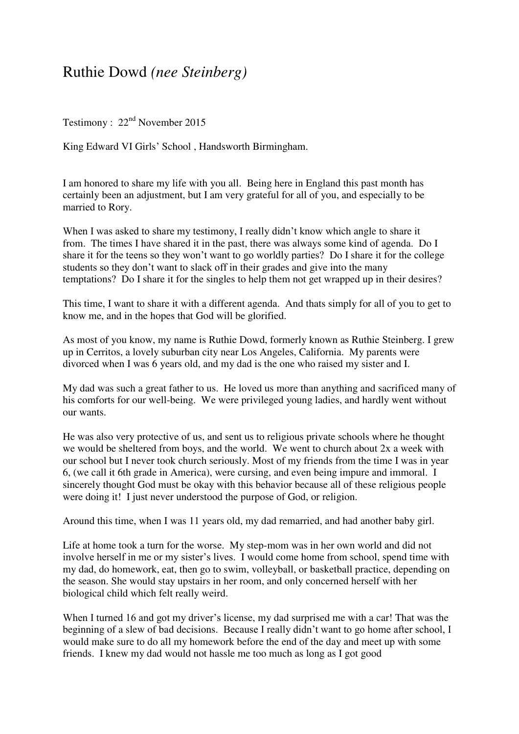## Ruthie Dowd *(nee Steinberg)*

Testimony :  $22<sup>nd</sup>$  November 2015

King Edward VI Girls' School , Handsworth Birmingham.

I am honored to share my life with you all. Being here in England this past month has certainly been an adjustment, but I am very grateful for all of you, and especially to be married to Rory.

When I was asked to share my testimony, I really didn't know which angle to share it from. The times I have shared it in the past, there was always some kind of agenda. Do I share it for the teens so they won't want to go worldly parties? Do I share it for the college students so they don't want to slack off in their grades and give into the many temptations? Do I share it for the singles to help them not get wrapped up in their desires?

This time, I want to share it with a different agenda. And thats simply for all of you to get to know me, and in the hopes that God will be glorified.

As most of you know, my name is Ruthie Dowd, formerly known as Ruthie Steinberg. I grew up in Cerritos, a lovely suburban city near Los Angeles, California. My parents were divorced when I was 6 years old, and my dad is the one who raised my sister and I.

My dad was such a great father to us. He loved us more than anything and sacrificed many of his comforts for our well-being. We were privileged young ladies, and hardly went without our wants.

He was also very protective of us, and sent us to religious private schools where he thought we would be sheltered from boys, and the world. We went to church about 2x a week with our school but I never took church seriously. Most of my friends from the time I was in year 6, (we call it 6th grade in America), were cursing, and even being impure and immoral. I sincerely thought God must be okay with this behavior because all of these religious people were doing it! I just never understood the purpose of God, or religion.

Around this time, when I was 11 years old, my dad remarried, and had another baby girl.

Life at home took a turn for the worse. My step-mom was in her own world and did not involve herself in me or my sister's lives. I would come home from school, spend time with my dad, do homework, eat, then go to swim, volleyball, or basketball practice, depending on the season. She would stay upstairs in her room, and only concerned herself with her biological child which felt really weird.

When I turned 16 and got my driver's license, my dad surprised me with a car! That was the beginning of a slew of bad decisions. Because I really didn't want to go home after school, I would make sure to do all my homework before the end of the day and meet up with some friends. I knew my dad would not hassle me too much as long as I got good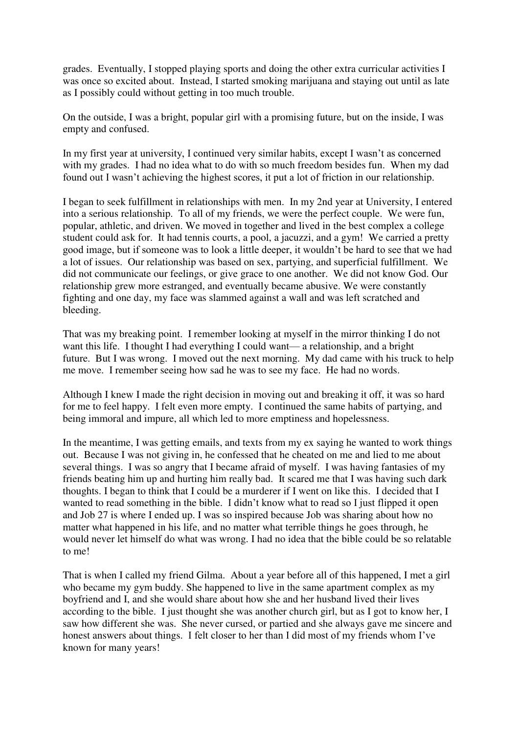grades. Eventually, I stopped playing sports and doing the other extra curricular activities I was once so excited about. Instead, I started smoking marijuana and staying out until as late as I possibly could without getting in too much trouble.

On the outside, I was a bright, popular girl with a promising future, but on the inside, I was empty and confused.

In my first year at university, I continued very similar habits, except I wasn't as concerned with my grades. I had no idea what to do with so much freedom besides fun. When my dad found out I wasn't achieving the highest scores, it put a lot of friction in our relationship.

I began to seek fulfillment in relationships with men. In my 2nd year at University, I entered into a serious relationship. To all of my friends, we were the perfect couple. We were fun, popular, athletic, and driven. We moved in together and lived in the best complex a college student could ask for. It had tennis courts, a pool, a jacuzzi, and a gym! We carried a pretty good image, but if someone was to look a little deeper, it wouldn't be hard to see that we had a lot of issues. Our relationship was based on sex, partying, and superficial fulfillment. We did not communicate our feelings, or give grace to one another. We did not know God. Our relationship grew more estranged, and eventually became abusive. We were constantly fighting and one day, my face was slammed against a wall and was left scratched and bleeding.

That was my breaking point. I remember looking at myself in the mirror thinking I do not want this life. I thought I had everything I could want— a relationship, and a bright future. But I was wrong. I moved out the next morning. My dad came with his truck to help me move. I remember seeing how sad he was to see my face. He had no words.

Although I knew I made the right decision in moving out and breaking it off, it was so hard for me to feel happy. I felt even more empty. I continued the same habits of partying, and being immoral and impure, all which led to more emptiness and hopelessness.

In the meantime, I was getting emails, and texts from my ex saying he wanted to work things out. Because I was not giving in, he confessed that he cheated on me and lied to me about several things. I was so angry that I became afraid of myself. I was having fantasies of my friends beating him up and hurting him really bad. It scared me that I was having such dark thoughts. I began to think that I could be a murderer if I went on like this. I decided that I wanted to read something in the bible. I didn't know what to read so I just flipped it open and Job 27 is where I ended up. I was so inspired because Job was sharing about how no matter what happened in his life, and no matter what terrible things he goes through, he would never let himself do what was wrong. I had no idea that the bible could be so relatable to me!

That is when I called my friend Gilma. About a year before all of this happened, I met a girl who became my gym buddy. She happened to live in the same apartment complex as my boyfriend and I, and she would share about how she and her husband lived their lives according to the bible. I just thought she was another church girl, but as I got to know her, I saw how different she was. She never cursed, or partied and she always gave me sincere and honest answers about things. I felt closer to her than I did most of my friends whom I've known for many years!